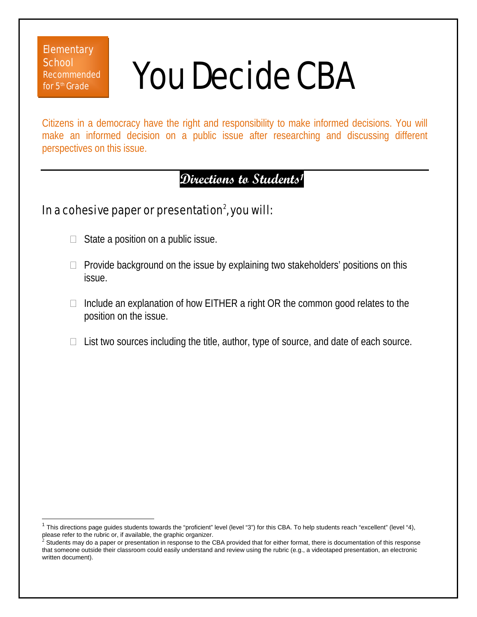### **Elementary School** Recommended for  $5<sup>th</sup>$  Grade

 $\overline{1}$ 

# You Decide CBA

Citizens in a democracy have the right and responsibility to make informed decisions. You will make an informed decision on a public issue after researching and discussing different perspectives on this issue.

## **Directions to Students1**

## In a cohesive paper or presentation $^2$ , you will:

- $\Box$  State a position on a public issue.
- $\Box$  Provide background on the issue by explaining two stakeholders' positions on this issue.
- $\Box$  Include an explanation of how EITHER a right OR the common good relates to the position on the issue.
- $\Box$  List two sources including the title, author, type of source, and date of each source.

This directions page guides students towards the "proficient" level (level "3") for this CBA. To help students reach "excellent" (level "4),<br>please refer to the rubric or, if available, the graphic organizer.

Students may do a paper or presentation in response to the CBA provided that for either format, there is documentation of this response that someone outside their classroom could easily understand and review using the rubric (e.g., a videotaped presentation, an electronic written document).